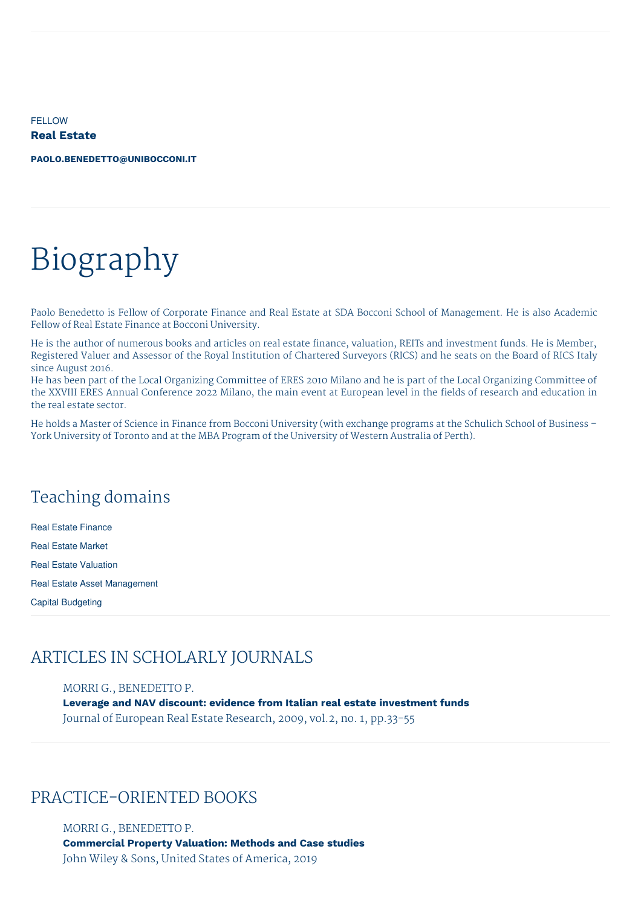**FELLOW Real Estate**

**[PAOLO.BENEDETTO@UNIBOCCONI.IT](mailto:paolo.benedetto@unibocconi.it)**

# Biography

Paolo Benedetto is Fellow of Corporate Finance and Real Estate at SDA Bocconi School of Management. He is also Academic Fellow of Real Estate Finance at Bocconi University.

He is the author of numerous books and articles on real estate finance, valuation, REITs and investment funds. He is Member, Registered Valuer and Assessor of the Royal Institution of Chartered Surveyors (RICS) and he seats on the Board of RICS Italy since August 2016.

He has been part of the Local Organizing Committee of ERES 2010 Milano and he is part of the Local Organizing Committee of the XXVIII ERES Annual Conference 2022 Milano, the main event at European level in the fields of research and education in the real estate sector.

He holds a Master of Science in Finance from Bocconi University (with exchange programs at the Schulich School of Business – York University of Toronto and at the MBA Program of the University of Western Australia of Perth).

# Teaching domains

Real Estate Finance Real Estate Market Real Estate Valuation Real Estate Asset Management Capital Budgeting

## ARTICLES IN SCHOLARLY JOURNALS

MORRI G., BENEDETTO P.

**Leverage and NAV discount: evidence from Italian real estate investment funds** Journal of European Real Estate Research, 2009, vol.2, no. 1, pp.33-55

## PRACTICE-ORIENTED BOOKS

MORRI G., BENEDETTO P. **Commercial Property Valuation: Methods and Case studies** John Wiley & Sons, United States of America, 2019